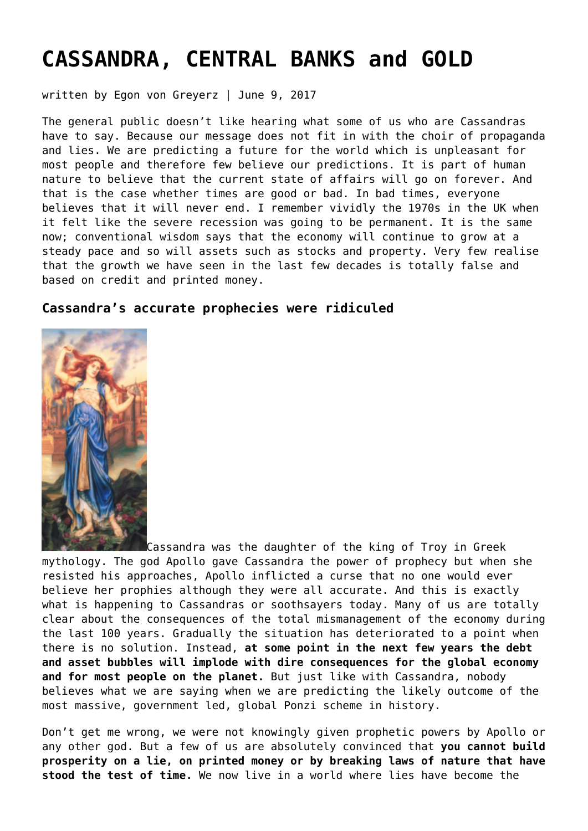# **[CASSANDRA, CENTRAL BANKS and GOLD](https://goldswitzerland.com/cassandra-central-banks-and-gold/)**

written by Egon von Greyerz | June 9, 2017

The general public doesn't like hearing what some of us who are Cassandras have to say. Because our message does not fit in with the choir of propaganda and lies. We are predicting a future for the world which is unpleasant for most people and therefore few believe our predictions. It is part of human nature to believe that the current state of affairs will go on forever. And that is the case whether times are good or bad. In bad times, everyone believes that it will never end. I remember vividly the 1970s in the UK when it felt like the severe recession was going to be permanent. It is the same now; conventional wisdom says that the economy will continue to grow at a steady pace and so will assets such as stocks and property. Very few realise that the growth we have seen in the last few decades is totally false and based on credit and printed money.

## **Cassandra's accurate prophecies were ridiculed**



Cassandra was the daughter of the king of Troy in Greek mythology. The god Apollo gave Cassandra the power of prophecy but when she resisted his approaches, Apollo inflicted a curse that no one would ever believe her prophies although they were all accurate. And this is exactly what is happening to Cassandras or soothsayers today. Many of us are totally clear about the consequences of the total mismanagement of the economy during the last 100 years. Gradually the situation has deteriorated to a point when there is no solution. Instead, **at some point in the next few years the debt and asset bubbles will implode with dire consequences for the global economy and for most people on the planet.** But just like with Cassandra, nobody believes what we are saying when we are predicting the likely outcome of the most massive, government led, global Ponzi scheme in history.

Don't get me wrong, we were not knowingly given prophetic powers by Apollo or any other god. But a few of us are absolutely convinced that **you cannot build prosperity on a lie, on printed money or by breaking laws of nature that have stood the test of time.** We now live in a world where lies have become the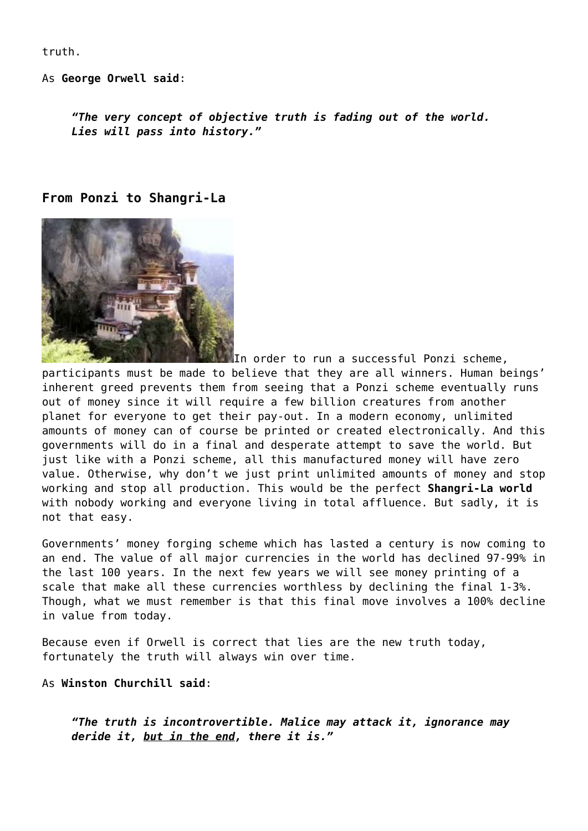truth.

As **George Orwell said**:

*"The very concept of objective truth is fading out of the world. Lies will pass into history."*

#### **From Ponzi to Shangri-La**



In order to run a successful Ponzi scheme,

participants must be made to believe that they are all winners. Human beings' inherent greed prevents them from seeing that a Ponzi scheme eventually runs out of money since it will require a few billion creatures from another planet for everyone to get their pay-out. In a modern economy, unlimited amounts of money can of course be printed or created electronically. And this governments will do in a final and desperate attempt to save the world. But just like with a Ponzi scheme, all this manufactured money will have zero value. Otherwise, why don't we just print unlimited amounts of money and stop working and stop all production. This would be the perfect **Shangri-La world** with nobody working and everyone living in total affluence. But sadly, it is not that easy.

Governments' money forging scheme which has lasted a century is now coming to an end. The value of all major currencies in the world has declined 97-99% in the last 100 years. In the next few years we will see money printing of a scale that make all these currencies worthless by declining the final 1-3%. Though, what we must remember is that this final move involves a 100% decline in value from today.

Because even if Orwell is correct that lies are the new truth today, fortunately the truth will always win over time.

As **Winston Churchill said**:

*"The truth is incontrovertible. Malice may attack it, ignorance may deride it, but in the end, there it is."*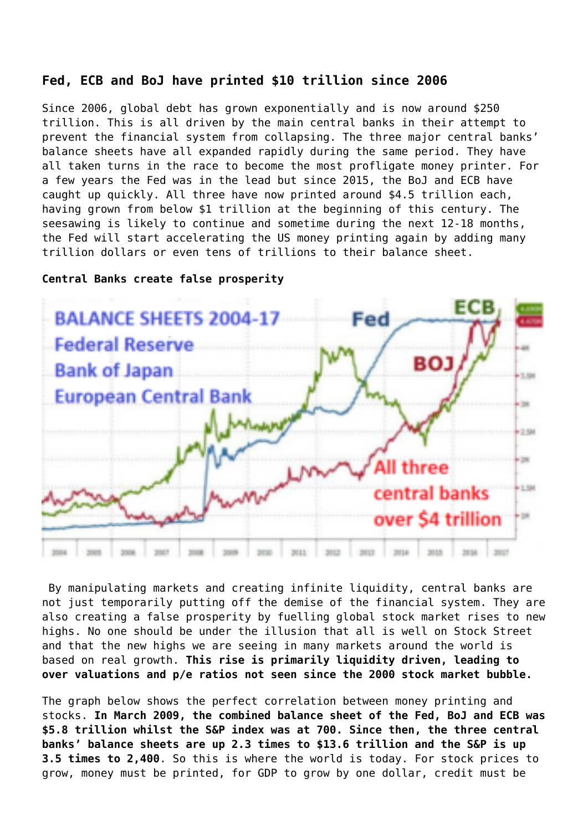## **Fed, ECB and BoJ have printed \$10 trillion since 2006**

Since 2006, global debt has grown exponentially and is now around \$250 trillion. This is all driven by the main central banks in their attempt to prevent the financial system from collapsing. The three major central banks' balance sheets have all expanded rapidly during the same period. They have all taken turns in the race to become the most profligate money printer. For a few years the Fed was in the lead but since 2015, the BoJ and ECB have caught up quickly. All three have now printed around \$4.5 trillion each, having grown from below \$1 trillion at the beginning of this century. The seesawing is likely to continue and sometime during the next 12-18 months, the Fed will start accelerating the US money printing again by adding many trillion dollars or even tens of trillions to their balance sheet.

#### **Central Banks create false prosperity**



By manipulating markets and creating infinite liquidity, central banks are not just temporarily putting off the demise of the financial system. They are also creating a false prosperity by fuelling global stock market rises to new highs. No one should be under the illusion that all is well on Stock Street and that the new highs we are seeing in many markets around the world is based on real growth. **This rise is primarily liquidity driven, leading to over valuations and p/e ratios not seen since the 2000 stock market bubble.**

The graph below shows the perfect correlation between money printing and stocks. **In March 2009, the combined balance sheet of the Fed, BoJ and ECB was \$5.8 trillion whilst the S&P index was at 700. Since then, the three central banks' balance sheets are up 2.3 times to \$13.6 trillion and the S&P is up 3.5 times to 2,400**. So this is where the world is today. For stock prices to grow, money must be printed, for GDP to grow by one dollar, credit must be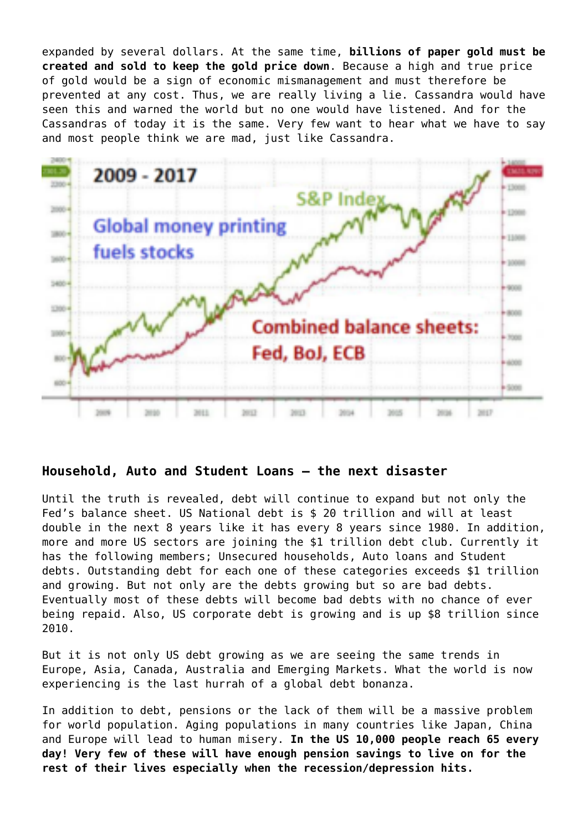expanded by several dollars. At the same time, **billions of paper gold must be created and sold to keep the gold price down**. Because a high and true price of gold would be a sign of economic mismanagement and must therefore be prevented at any cost. Thus, we are really living a lie. Cassandra would have seen this and warned the world but no one would have listened. And for the Cassandras of today it is the same. Very few want to hear what we have to say and most people think we are mad, just like Cassandra.



### **Household, Auto and Student Loans – the next disaster**

Until the truth is revealed, debt will continue to expand but not only the Fed's balance sheet. US National debt is \$ 20 trillion and will at least double in the next 8 years like it has every 8 years since 1980. In addition, more and more US sectors are joining the \$1 trillion debt club. Currently it has the following members; Unsecured households, Auto loans and Student debts. Outstanding debt for each one of these categories exceeds \$1 trillion and growing. But not only are the debts growing but so are bad debts. Eventually most of these debts will become bad debts with no chance of ever being repaid. Also, US corporate debt is growing and is up \$8 trillion since 2010.

But it is not only US debt growing as we are seeing the same trends in Europe, Asia, Canada, Australia and Emerging Markets. What the world is now experiencing is the last hurrah of a global debt bonanza.

In addition to debt, pensions or the lack of them will be a massive problem for world population. Aging populations in many countries like Japan, China and Europe will lead to human misery. **In the US 10,000 people reach 65 every day! Very few of these will have enough pension savings to live on for the rest of their lives especially when the recession/depression hits.**